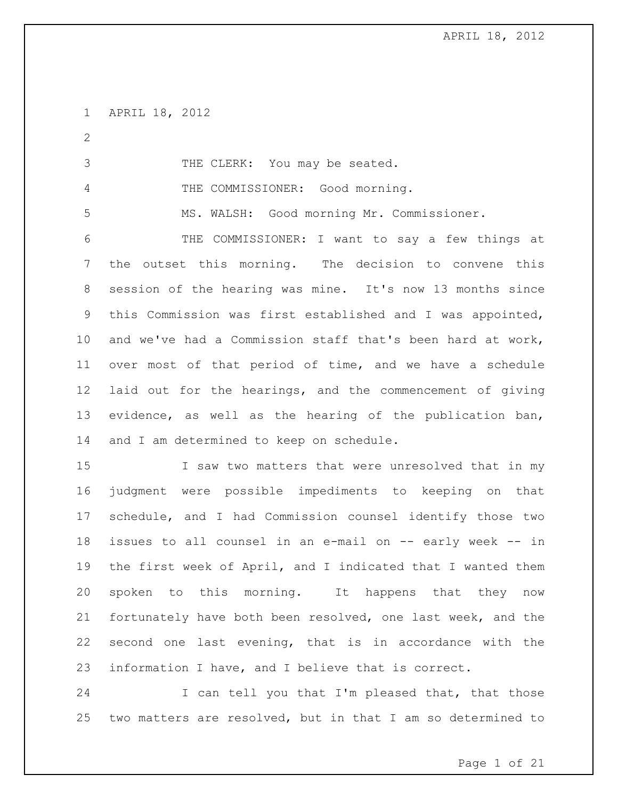APRIL 18, 2012

THE CLERK: You may be seated.

THE COMMISSIONER: Good morning.

MS. WALSH: Good morning Mr. Commissioner.

 THE COMMISSIONER: I want to say a few things at the outset this morning. The decision to convene this session of the hearing was mine. It's now 13 months since this Commission was first established and I was appointed, and we've had a Commission staff that's been hard at work, over most of that period of time, and we have a schedule laid out for the hearings, and the commencement of giving evidence, as well as the hearing of the publication ban, 14 and I am determined to keep on schedule.

15 I saw two matters that were unresolved that in my judgment were possible impediments to keeping on that schedule, and I had Commission counsel identify those two issues to all counsel in an e-mail on -- early week -- in the first week of April, and I indicated that I wanted them spoken to this morning. It happens that they now fortunately have both been resolved, one last week, and the second one last evening, that is in accordance with the information I have, and I believe that is correct.

24 I can tell you that I'm pleased that, that those two matters are resolved, but in that I am so determined to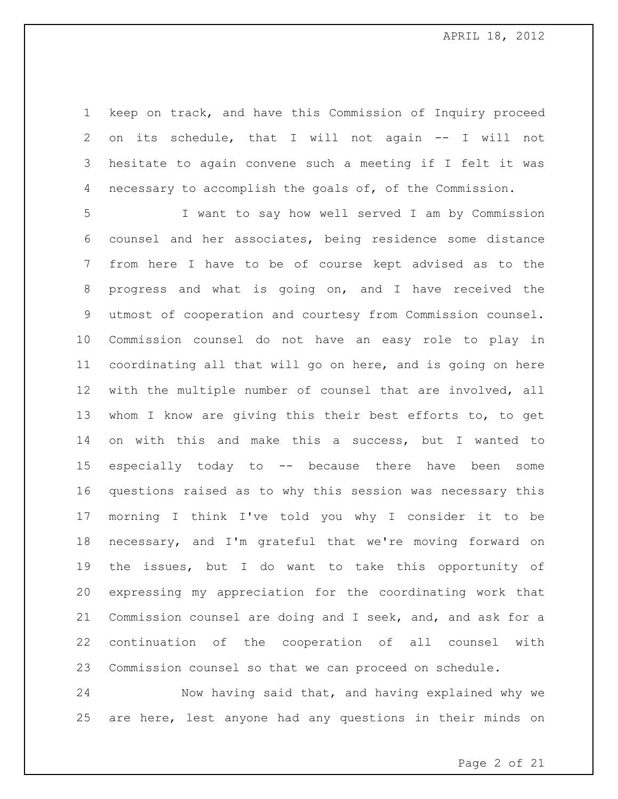keep on track, and have this Commission of Inquiry proceed on its schedule, that I will not again -- I will not hesitate to again convene such a meeting if I felt it was necessary to accomplish the goals of, of the Commission.

 I want to say how well served I am by Commission counsel and her associates, being residence some distance from here I have to be of course kept advised as to the progress and what is going on, and I have received the utmost of cooperation and courtesy from Commission counsel. Commission counsel do not have an easy role to play in coordinating all that will go on here, and is going on here with the multiple number of counsel that are involved, all whom I know are giving this their best efforts to, to get on with this and make this a success, but I wanted to especially today to -- because there have been some questions raised as to why this session was necessary this morning I think I've told you why I consider it to be necessary, and I'm grateful that we're moving forward on the issues, but I do want to take this opportunity of expressing my appreciation for the coordinating work that Commission counsel are doing and I seek, and, and ask for a continuation of the cooperation of all counsel with Commission counsel so that we can proceed on schedule.

 Now having said that, and having explained why we are here, lest anyone had any questions in their minds on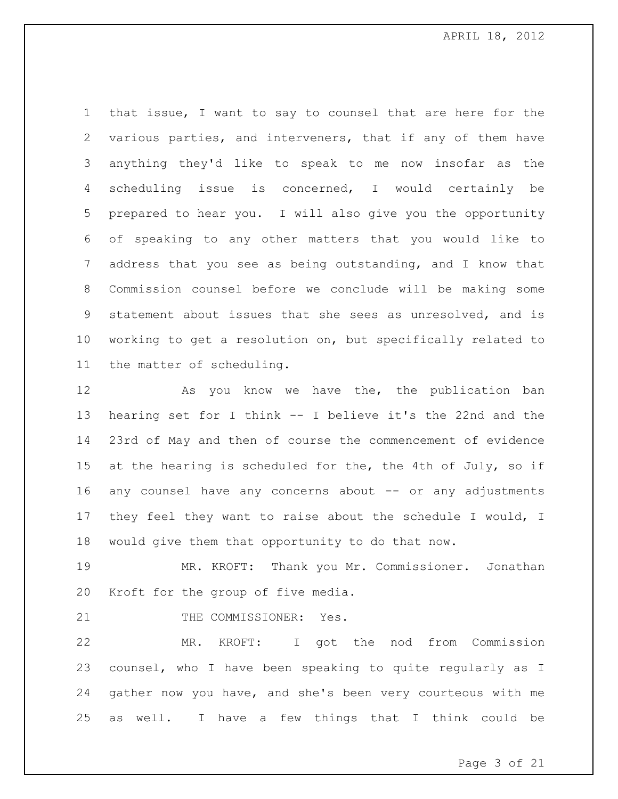that issue, I want to say to counsel that are here for the various parties, and interveners, that if any of them have anything they'd like to speak to me now insofar as the scheduling issue is concerned, I would certainly be prepared to hear you. I will also give you the opportunity of speaking to any other matters that you would like to address that you see as being outstanding, and I know that Commission counsel before we conclude will be making some statement about issues that she sees as unresolved, and is working to get a resolution on, but specifically related to the matter of scheduling.

12 As you know we have the, the publication ban hearing set for I think -- I believe it's the 22nd and the 23rd of May and then of course the commencement of evidence 15 at the hearing is scheduled for the, the 4th of July, so if any counsel have any concerns about -- or any adjustments they feel they want to raise about the schedule I would, I would give them that opportunity to do that now.

 MR. KROFT: Thank you Mr. Commissioner. Jonathan Kroft for the group of five media.

21 THE COMMISSIONER: Yes.

 MR. KROFT: I got the nod from Commission counsel, who I have been speaking to quite regularly as I gather now you have, and she's been very courteous with me as well. I have a few things that I think could be

Page 3 of 21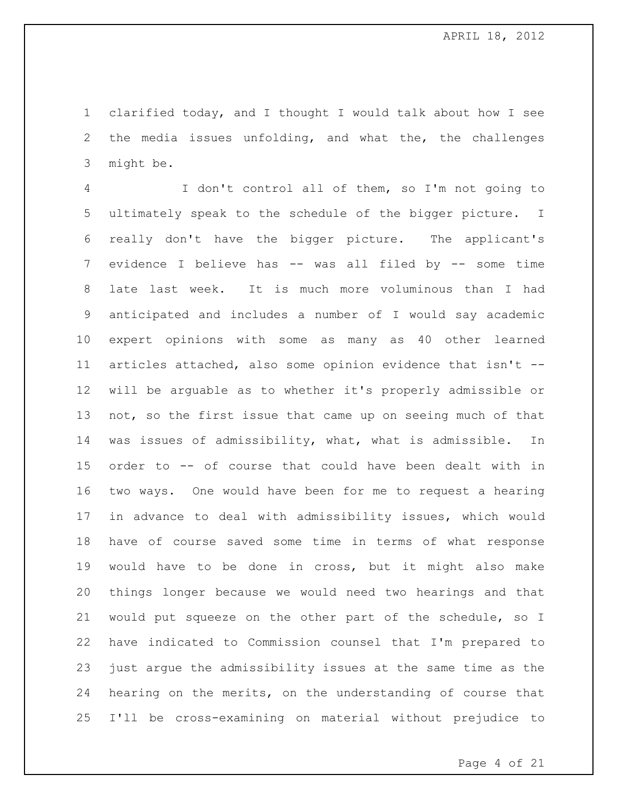clarified today, and I thought I would talk about how I see the media issues unfolding, and what the, the challenges might be.

 I don't control all of them, so I'm not going to ultimately speak to the schedule of the bigger picture. I really don't have the bigger picture. The applicant's evidence I believe has -- was all filed by -- some time late last week. It is much more voluminous than I had anticipated and includes a number of I would say academic expert opinions with some as many as 40 other learned articles attached, also some opinion evidence that isn't -- will be arguable as to whether it's properly admissible or not, so the first issue that came up on seeing much of that was issues of admissibility, what, what is admissible. In order to -- of course that could have been dealt with in two ways. One would have been for me to request a hearing in advance to deal with admissibility issues, which would have of course saved some time in terms of what response would have to be done in cross, but it might also make things longer because we would need two hearings and that would put squeeze on the other part of the schedule, so I have indicated to Commission counsel that I'm prepared to just argue the admissibility issues at the same time as the hearing on the merits, on the understanding of course that I'll be cross-examining on material without prejudice to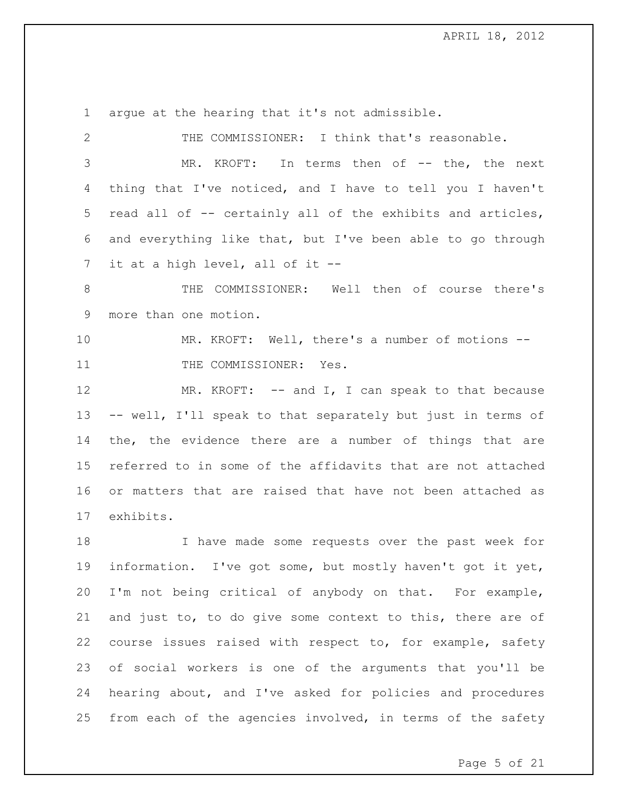argue at the hearing that it's not admissible. THE COMMISSIONER: I think that's reasonable. MR. KROFT: In terms then of -- the, the next thing that I've noticed, and I have to tell you I haven't read all of -- certainly all of the exhibits and articles, and everything like that, but I've been able to go through it at a high level, all of it -- THE COMMISSIONER: Well then of course there's more than one motion. MR. KROFT: Well, there's a number of motions -- 11 THE COMMISSIONER: Yes. 12 MR. KROFT: -- and I, I can speak to that because -- well, I'll speak to that separately but just in terms of the, the evidence there are a number of things that are referred to in some of the affidavits that are not attached or matters that are raised that have not been attached as exhibits. I have made some requests over the past week for information. I've got some, but mostly haven't got it yet, I'm not being critical of anybody on that. For example,

 and just to, to do give some context to this, there are of course issues raised with respect to, for example, safety of social workers is one of the arguments that you'll be hearing about, and I've asked for policies and procedures 25 from each of the agencies involved, in terms of the safety

Page 5 of 21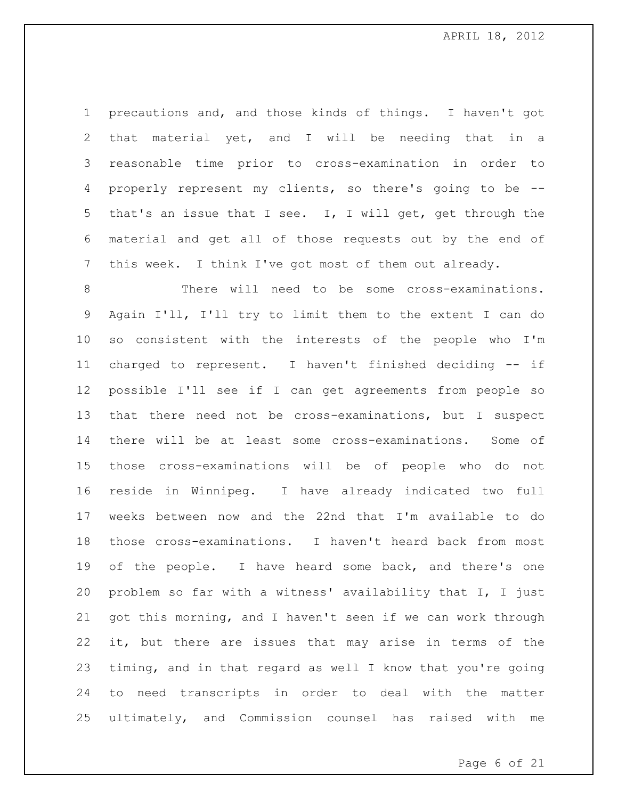precautions and, and those kinds of things. I haven't got that material yet, and I will be needing that in a reasonable time prior to cross-examination in order to properly represent my clients, so there's going to be -- that's an issue that I see. I, I will get, get through the material and get all of those requests out by the end of this week. I think I've got most of them out already.

 There will need to be some cross-examinations. Again I'll, I'll try to limit them to the extent I can do so consistent with the interests of the people who I'm charged to represent. I haven't finished deciding -- if possible I'll see if I can get agreements from people so that there need not be cross-examinations, but I suspect there will be at least some cross-examinations. Some of those cross-examinations will be of people who do not reside in Winnipeg. I have already indicated two full weeks between now and the 22nd that I'm available to do those cross-examinations. I haven't heard back from most of the people. I have heard some back, and there's one problem so far with a witness' availability that I, I just got this morning, and I haven't seen if we can work through it, but there are issues that may arise in terms of the timing, and in that regard as well I know that you're going to need transcripts in order to deal with the matter ultimately, and Commission counsel has raised with me

Page 6 of 21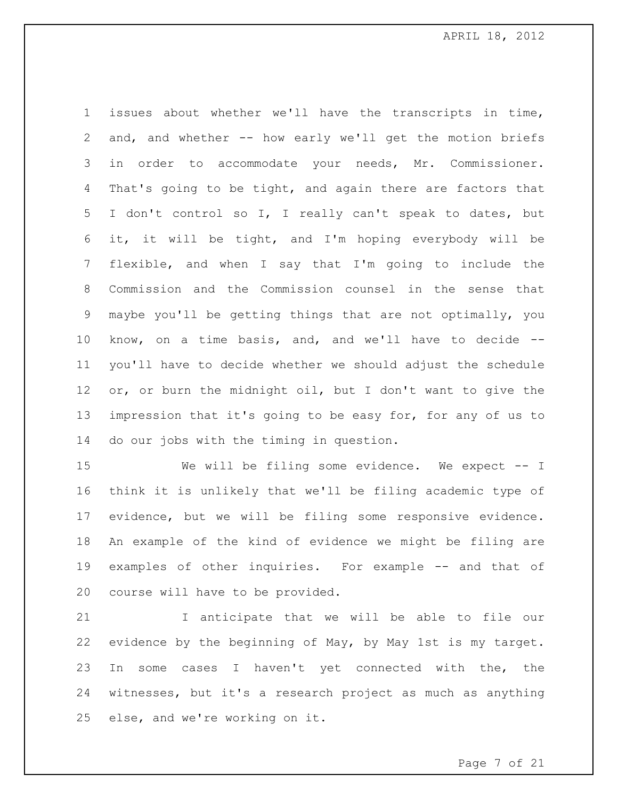issues about whether we'll have the transcripts in time, and, and whether -- how early we'll get the motion briefs in order to accommodate your needs, Mr. Commissioner. That's going to be tight, and again there are factors that I don't control so I, I really can't speak to dates, but it, it will be tight, and I'm hoping everybody will be flexible, and when I say that I'm going to include the Commission and the Commission counsel in the sense that maybe you'll be getting things that are not optimally, you know, on a time basis, and, and we'll have to decide -- you'll have to decide whether we should adjust the schedule or, or burn the midnight oil, but I don't want to give the impression that it's going to be easy for, for any of us to do our jobs with the timing in question.

 We will be filing some evidence. We expect -- I think it is unlikely that we'll be filing academic type of evidence, but we will be filing some responsive evidence. An example of the kind of evidence we might be filing are examples of other inquiries. For example -- and that of course will have to be provided.

 I anticipate that we will be able to file our evidence by the beginning of May, by May 1st is my target. In some cases I haven't yet connected with the, the witnesses, but it's a research project as much as anything else, and we're working on it.

Page 7 of 21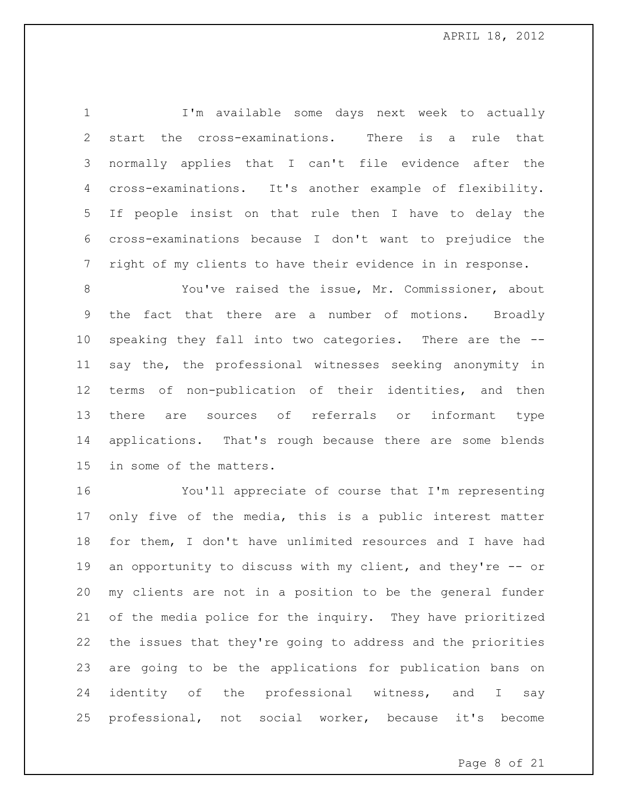I'm available some days next week to actually start the cross-examinations. There is a rule that normally applies that I can't file evidence after the cross-examinations. It's another example of flexibility. If people insist on that rule then I have to delay the cross-examinations because I don't want to prejudice the right of my clients to have their evidence in in response.

 You've raised the issue, Mr. Commissioner, about the fact that there are a number of motions. Broadly speaking they fall into two categories. There are the -- say the, the professional witnesses seeking anonymity in terms of non-publication of their identities, and then there are sources of referrals or informant type applications. That's rough because there are some blends in some of the matters.

 You'll appreciate of course that I'm representing only five of the media, this is a public interest matter for them, I don't have unlimited resources and I have had an opportunity to discuss with my client, and they're -- or my clients are not in a position to be the general funder of the media police for the inquiry. They have prioritized the issues that they're going to address and the priorities are going to be the applications for publication bans on 24 identity of the professional witness, and I say professional, not social worker, because it's become

Page 8 of 21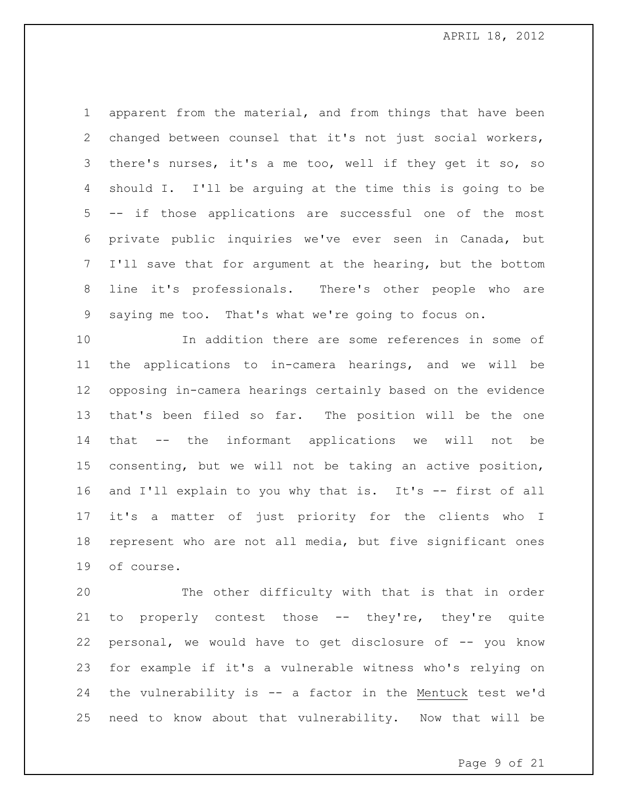apparent from the material, and from things that have been changed between counsel that it's not just social workers, there's nurses, it's a me too, well if they get it so, so should I. I'll be arguing at the time this is going to be -- if those applications are successful one of the most private public inquiries we've ever seen in Canada, but I'll save that for argument at the hearing, but the bottom line it's professionals. There's other people who are saying me too. That's what we're going to focus on.

 In addition there are some references in some of the applications to in-camera hearings, and we will be opposing in-camera hearings certainly based on the evidence that's been filed so far. The position will be the one that -- the informant applications we will not be consenting, but we will not be taking an active position, and I'll explain to you why that is. It's -- first of all it's a matter of just priority for the clients who I represent who are not all media, but five significant ones of course.

 The other difficulty with that is that in order to properly contest those -- they're, they're quite 22 personal, we would have to get disclosure of -- you know for example if it's a vulnerable witness who's relying on the vulnerability is -- a factor in the Mentuck test we'd need to know about that vulnerability. Now that will be

Page 9 of 21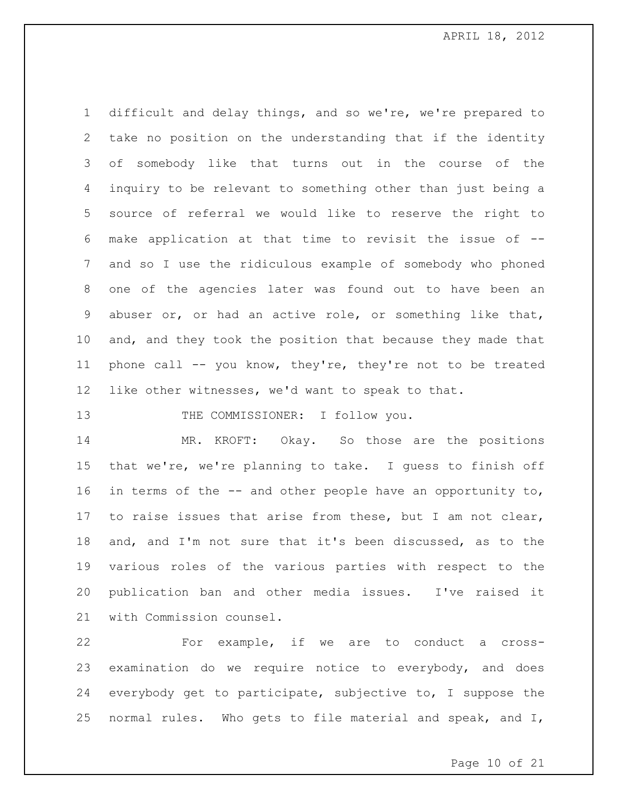difficult and delay things, and so we're, we're prepared to take no position on the understanding that if the identity of somebody like that turns out in the course of the inquiry to be relevant to something other than just being a source of referral we would like to reserve the right to make application at that time to revisit the issue of -- and so I use the ridiculous example of somebody who phoned one of the agencies later was found out to have been an abuser or, or had an active role, or something like that, and, and they took the position that because they made that phone call -- you know, they're, they're not to be treated like other witnesses, we'd want to speak to that.

13 THE COMMISSIONER: I follow you.

 MR. KROFT: Okay. So those are the positions that we're, we're planning to take. I guess to finish off 16 in terms of the -- and other people have an opportunity to, to raise issues that arise from these, but I am not clear, and, and I'm not sure that it's been discussed, as to the various roles of the various parties with respect to the publication ban and other media issues. I've raised it with Commission counsel.

 For example, if we are to conduct a cross- examination do we require notice to everybody, and does everybody get to participate, subjective to, I suppose the normal rules. Who gets to file material and speak, and I,

Page 10 of 21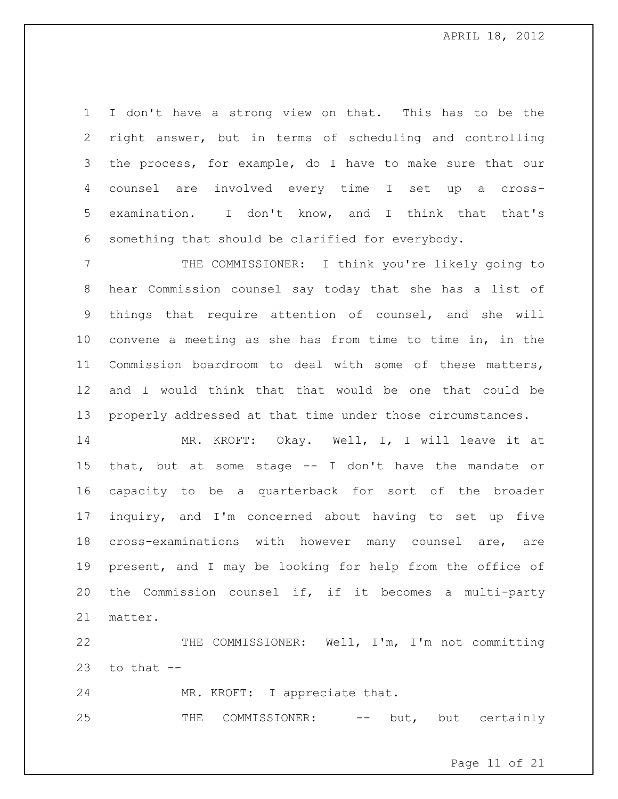I don't have a strong view on that. This has to be the right answer, but in terms of scheduling and controlling the process, for example, do I have to make sure that our counsel are involved every time I set up a cross- examination. I don't know, and I think that that's something that should be clarified for everybody.

 THE COMMISSIONER: I think you're likely going to hear Commission counsel say today that she has a list of things that require attention of counsel, and she will convene a meeting as she has from time to time in, in the Commission boardroom to deal with some of these matters, and I would think that that would be one that could be properly addressed at that time under those circumstances.

 MR. KROFT: Okay. Well, I, I will leave it at that, but at some stage -- I don't have the mandate or capacity to be a quarterback for sort of the broader inquiry, and I'm concerned about having to set up five cross-examinations with however many counsel are, are present, and I may be looking for help from the office of the Commission counsel if, if it becomes a multi-party matter.

 THE COMMISSIONER: Well, I'm, I'm not committing to that  $-$ 

MR. KROFT: I appreciate that.

25 THE COMMISSIONER: -- but, but certainly

Page 11 of 21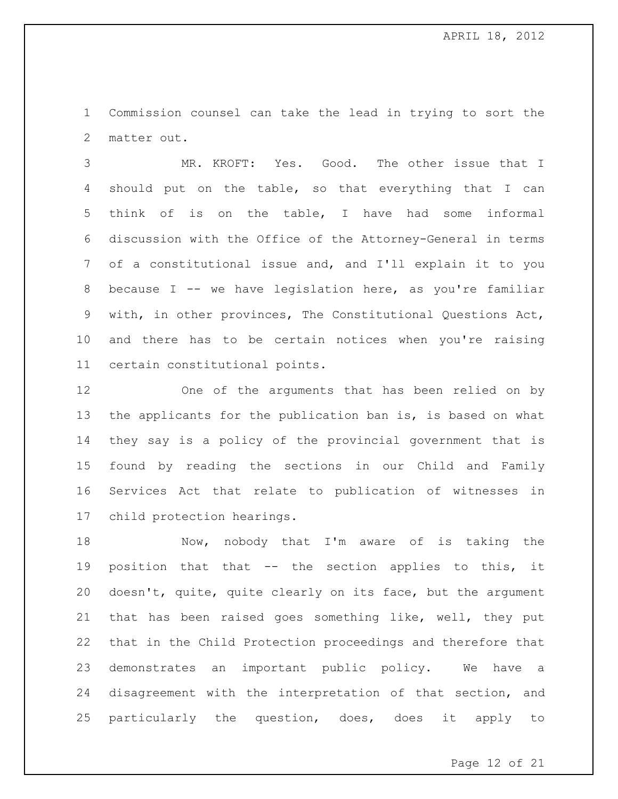Commission counsel can take the lead in trying to sort the matter out.

 MR. KROFT: Yes. Good. The other issue that I should put on the table, so that everything that I can think of is on the table, I have had some informal discussion with the Office of the Attorney-General in terms of a constitutional issue and, and I'll explain it to you because I -- we have legislation here, as you're familiar with, in other provinces, The Constitutional Questions Act, and there has to be certain notices when you're raising certain constitutional points.

 One of the arguments that has been relied on by the applicants for the publication ban is, is based on what they say is a policy of the provincial government that is found by reading the sections in our Child and Family Services Act that relate to publication of witnesses in child protection hearings.

 Now, nobody that I'm aware of is taking the position that that -- the section applies to this, it doesn't, quite, quite clearly on its face, but the argument that has been raised goes something like, well, they put that in the Child Protection proceedings and therefore that demonstrates an important public policy. We have a disagreement with the interpretation of that section, and particularly the question, does, does it apply to

Page 12 of 21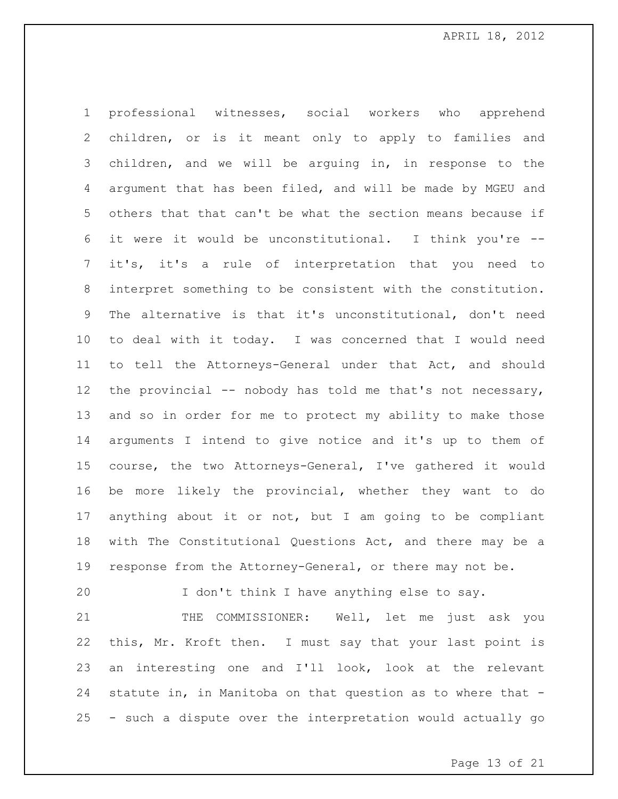professional witnesses, social workers who apprehend children, or is it meant only to apply to families and children, and we will be arguing in, in response to the argument that has been filed, and will be made by MGEU and others that that can't be what the section means because if it were it would be unconstitutional. I think you're -- it's, it's a rule of interpretation that you need to interpret something to be consistent with the constitution. The alternative is that it's unconstitutional, don't need to deal with it today. I was concerned that I would need to tell the Attorneys-General under that Act, and should 12 the provincial -- nobody has told me that's not necessary, and so in order for me to protect my ability to make those arguments I intend to give notice and it's up to them of course, the two Attorneys-General, I've gathered it would be more likely the provincial, whether they want to do anything about it or not, but I am going to be compliant with The Constitutional Questions Act, and there may be a response from the Attorney-General, or there may not be.

I don't think I have anything else to say.

21 THE COMMISSIONER: Well, let me just ask you this, Mr. Kroft then. I must say that your last point is an interesting one and I'll look, look at the relevant statute in, in Manitoba on that question as to where that - - such a dispute over the interpretation would actually go

Page 13 of 21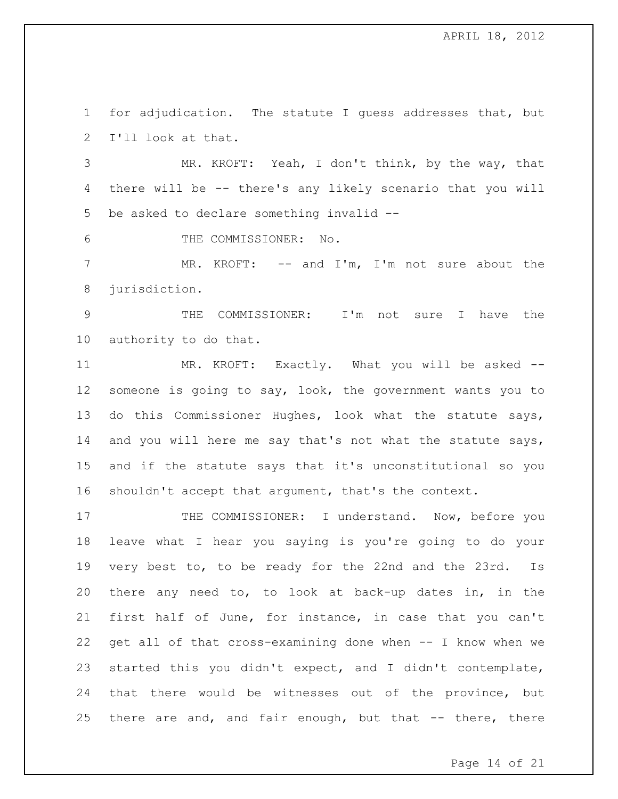for adjudication. The statute I guess addresses that, but I'll look at that.

 MR. KROFT: Yeah, I don't think, by the way, that there will be -- there's any likely scenario that you will be asked to declare something invalid --

THE COMMISSIONER: No.

 MR. KROFT: -- and I'm, I'm not sure about the jurisdiction.

 THE COMMISSIONER: I'm not sure I have the authority to do that.

 MR. KROFT: Exactly. What you will be asked -- someone is going to say, look, the government wants you to do this Commissioner Hughes, look what the statute says, 14 and you will here me say that's not what the statute says, and if the statute says that it's unconstitutional so you shouldn't accept that argument, that's the context.

17 THE COMMISSIONER: I understand. Now, before you leave what I hear you saying is you're going to do your very best to, to be ready for the 22nd and the 23rd. Is there any need to, to look at back-up dates in, in the first half of June, for instance, in case that you can't get all of that cross-examining done when -- I know when we started this you didn't expect, and I didn't contemplate, that there would be witnesses out of the province, but there are and, and fair enough, but that -- there, there

Page 14 of 21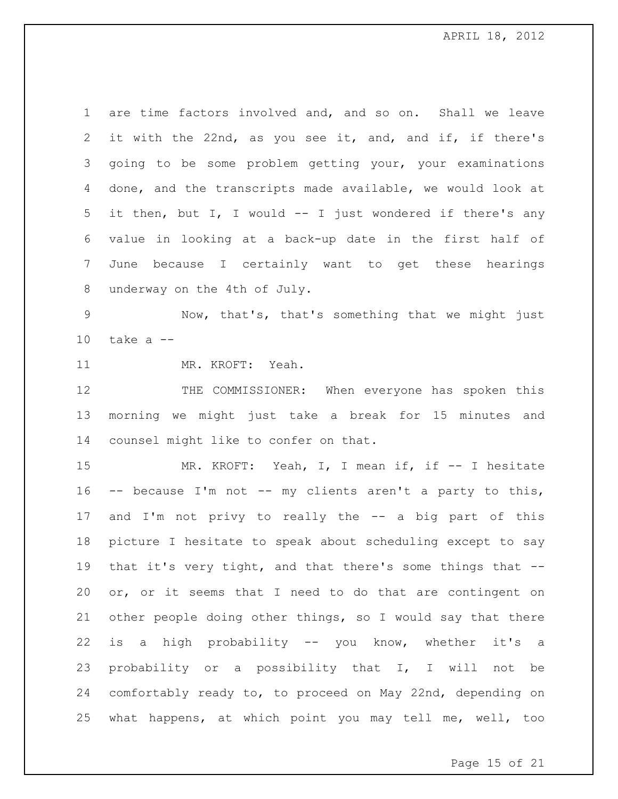are time factors involved and, and so on. Shall we leave it with the 22nd, as you see it, and, and if, if there's going to be some problem getting your, your examinations done, and the transcripts made available, we would look at it then, but I, I would -- I just wondered if there's any value in looking at a back-up date in the first half of June because I certainly want to get these hearings underway on the 4th of July.

 Now, that's, that's something that we might just take a  $-$ 

MR. KROFT: Yeah.

 THE COMMISSIONER: When everyone has spoken this morning we might just take a break for 15 minutes and counsel might like to confer on that.

15 MR. KROFT: Yeah, I, I mean if, if -- I hesitate -- because I'm not -- my clients aren't a party to this, and I'm not privy to really the -- a big part of this picture I hesitate to speak about scheduling except to say that it's very tight, and that there's some things that -- or, or it seems that I need to do that are contingent on other people doing other things, so I would say that there is a high probability -- you know, whether it's a probability or a possibility that I, I will not be comfortably ready to, to proceed on May 22nd, depending on what happens, at which point you may tell me, well, too

Page 15 of 21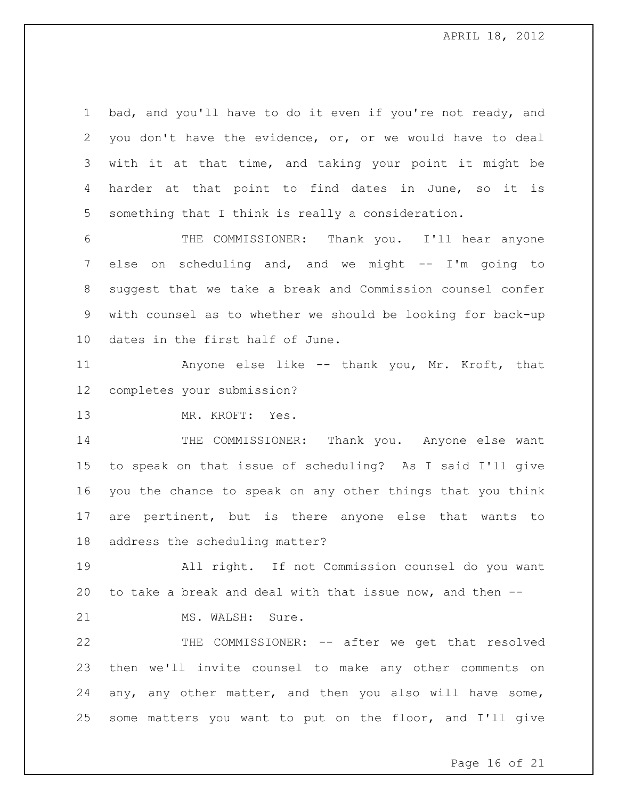bad, and you'll have to do it even if you're not ready, and you don't have the evidence, or, or we would have to deal with it at that time, and taking your point it might be harder at that point to find dates in June, so it is something that I think is really a consideration.

 THE COMMISSIONER: Thank you. I'll hear anyone else on scheduling and, and we might -- I'm going to suggest that we take a break and Commission counsel confer with counsel as to whether we should be looking for back-up dates in the first half of June.

 Anyone else like -- thank you, Mr. Kroft, that completes your submission?

MR. KROFT: Yes.

14 THE COMMISSIONER: Thank you. Anyone else want to speak on that issue of scheduling? As I said I'll give you the chance to speak on any other things that you think are pertinent, but is there anyone else that wants to address the scheduling matter?

 All right. If not Commission counsel do you want to take a break and deal with that issue now, and then --

21 MS. WALSH: Sure.

 THE COMMISSIONER: -- after we get that resolved then we'll invite counsel to make any other comments on any, any other matter, and then you also will have some, some matters you want to put on the floor, and I'll give

Page 16 of 21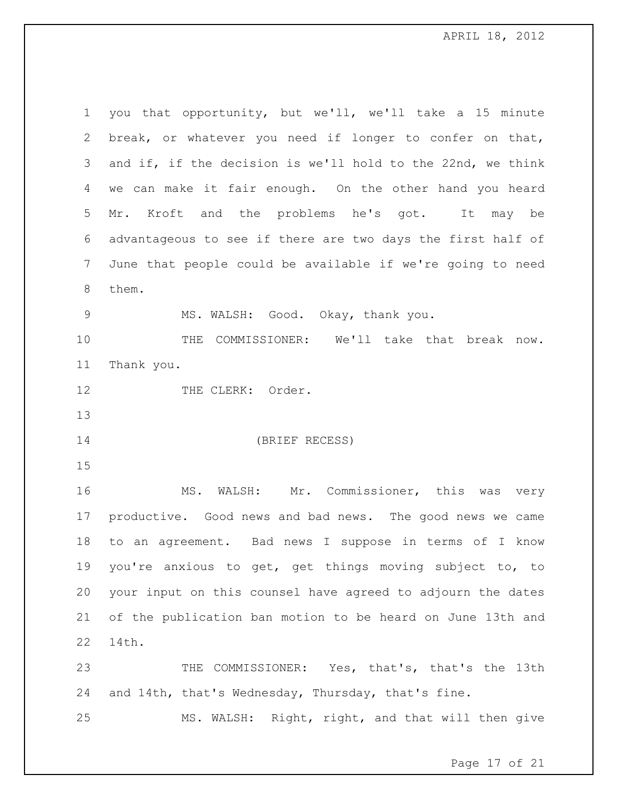you that opportunity, but we'll, we'll take a 15 minute break, or whatever you need if longer to confer on that, and if, if the decision is we'll hold to the 22nd, we think we can make it fair enough. On the other hand you heard Mr. Kroft and the problems he's got. It may be advantageous to see if there are two days the first half of June that people could be available if we're going to need them. MS. WALSH: Good. Okay, thank you. THE COMMISSIONER: We'll take that break now. Thank you. 12 THE CLERK: Order. (BRIEF RECESS) MS. WALSH: Mr. Commissioner, this was very productive. Good news and bad news. The good news we came to an agreement. Bad news I suppose in terms of I know you're anxious to get, get things moving subject to, to your input on this counsel have agreed to adjourn the dates of the publication ban motion to be heard on June 13th and 14th. THE COMMISSIONER: Yes, that's, that's the 13th and 14th, that's Wednesday, Thursday, that's fine. MS. WALSH: Right, right, and that will then give

Page 17 of 21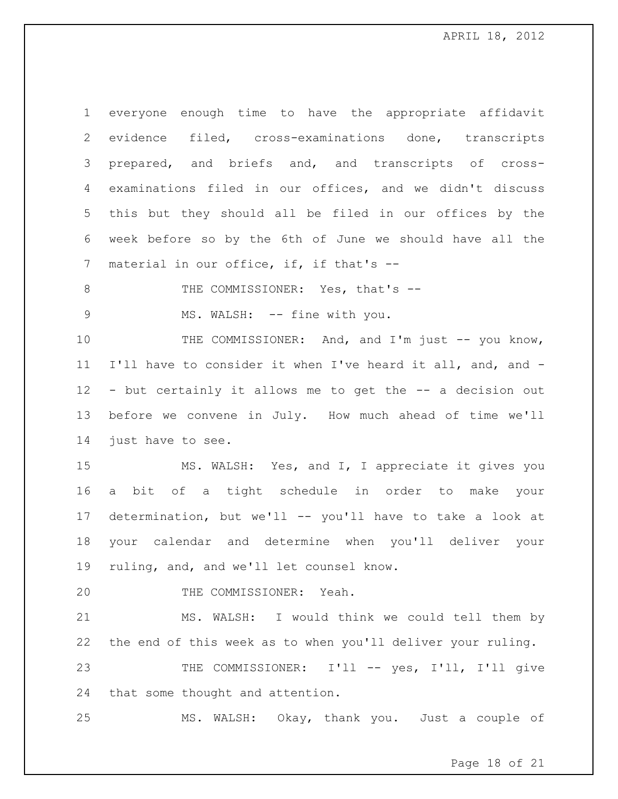everyone enough time to have the appropriate affidavit evidence filed, cross-examinations done, transcripts prepared, and briefs and, and transcripts of cross- examinations filed in our offices, and we didn't discuss this but they should all be filed in our offices by the week before so by the 6th of June we should have all the 7 material in our office, if, if that's --

8 THE COMMISSIONER: Yes, that's --

9 MS. WALSH: -- fine with you.

10 THE COMMISSIONER: And, and I'm just -- you know, I'll have to consider it when I've heard it all, and, and - - but certainly it allows me to get the -- a decision out before we convene in July. How much ahead of time we'll just have to see.

 MS. WALSH: Yes, and I, I appreciate it gives you a bit of a tight schedule in order to make your determination, but we'll -- you'll have to take a look at your calendar and determine when you'll deliver your ruling, and, and we'll let counsel know.

THE COMMISSIONER: Yeah.

 MS. WALSH: I would think we could tell them by the end of this week as to when you'll deliver your ruling.

 THE COMMISSIONER: I'll -- yes, I'll, I'll give that some thought and attention.

MS. WALSH: Okay, thank you. Just a couple of

Page 18 of 21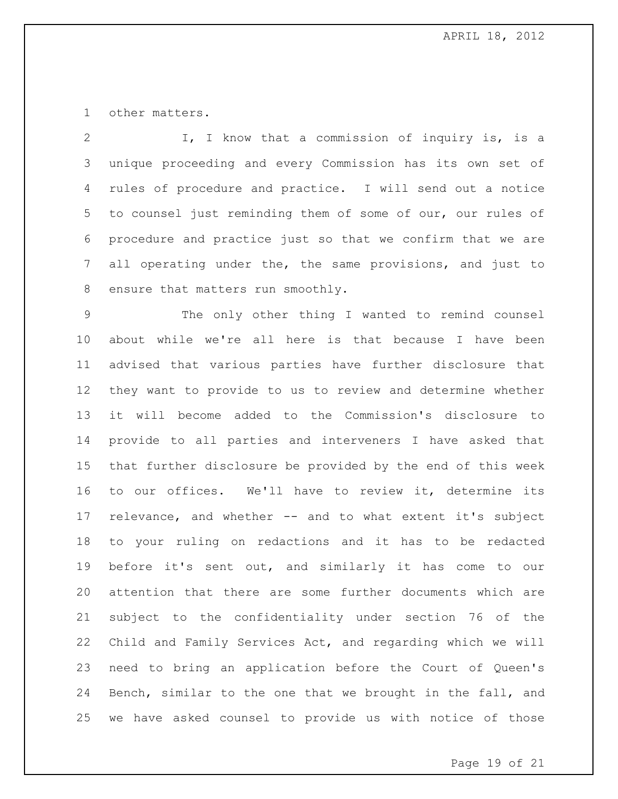other matters.

 I, I know that a commission of inquiry is, is a unique proceeding and every Commission has its own set of rules of procedure and practice. I will send out a notice to counsel just reminding them of some of our, our rules of procedure and practice just so that we confirm that we are all operating under the, the same provisions, and just to 8 ensure that matters run smoothly.

 The only other thing I wanted to remind counsel about while we're all here is that because I have been advised that various parties have further disclosure that they want to provide to us to review and determine whether it will become added to the Commission's disclosure to provide to all parties and interveners I have asked that that further disclosure be provided by the end of this week to our offices. We'll have to review it, determine its relevance, and whether -- and to what extent it's subject to your ruling on redactions and it has to be redacted before it's sent out, and similarly it has come to our attention that there are some further documents which are subject to the confidentiality under section 76 of the Child and Family Services Act, and regarding which we will need to bring an application before the Court of Queen's Bench, similar to the one that we brought in the fall, and we have asked counsel to provide us with notice of those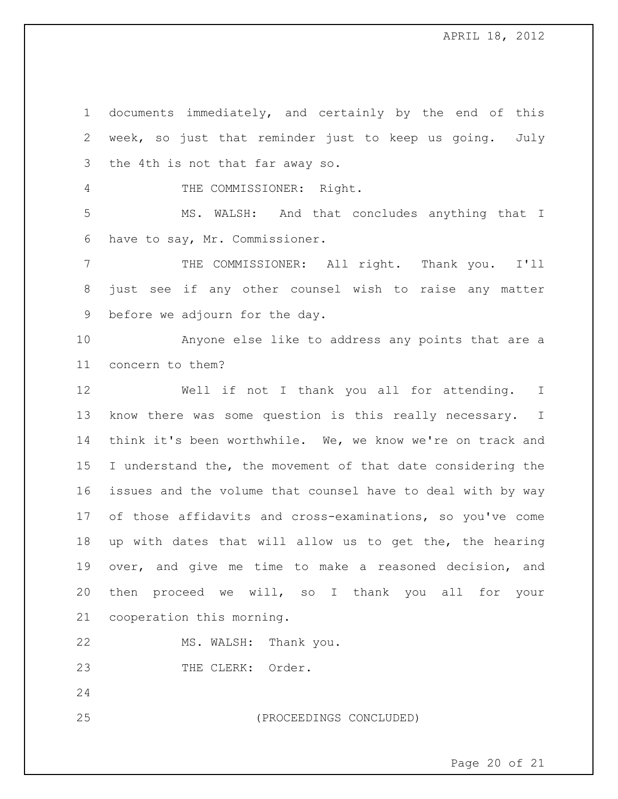documents immediately, and certainly by the end of this week, so just that reminder just to keep us going. July the 4th is not that far away so. THE COMMISSIONER: Right. MS. WALSH: And that concludes anything that I have to say, Mr. Commissioner. THE COMMISSIONER: All right. Thank you. I'll just see if any other counsel wish to raise any matter before we adjourn for the day. Anyone else like to address any points that are a concern to them? Well if not I thank you all for attending. I know there was some question is this really necessary. I think it's been worthwhile. We, we know we're on track and I understand the, the movement of that date considering the issues and the volume that counsel have to deal with by way of those affidavits and cross-examinations, so you've come up with dates that will allow us to get the, the hearing over, and give me time to make a reasoned decision, and then proceed we will, so I thank you all for your cooperation this morning. MS. WALSH: Thank you. 23 THE CLERK: Order. 

(PROCEEDINGS CONCLUDED)